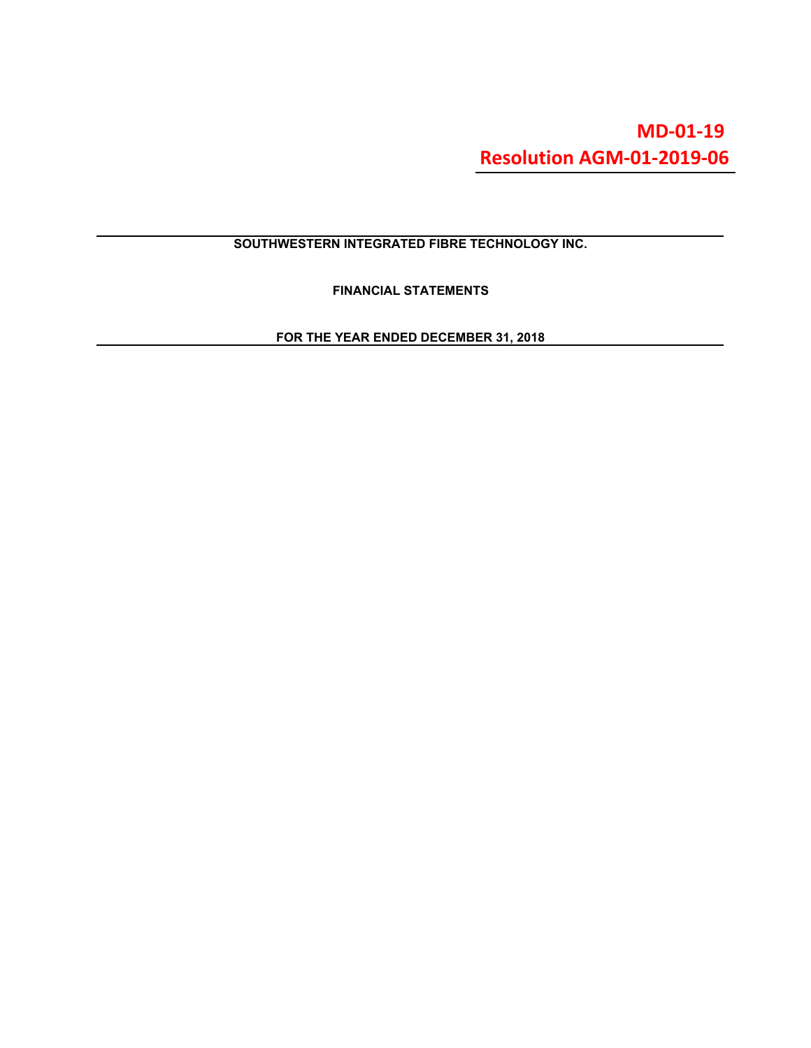# **MD-01-19 [Resolution AGM-01-2019-06](https://swiftnetwork.sharepoint.com/:b:/g/ERbLP4Q5B5FHr7zGAJz7hUsBApuuqeRpk3gwVVE5YO4HHw?e=no9Q99)**

# **SOUTHWESTERN INTEGRATED FIBRE TECHNOLOGY INC.**

**FINANCIAL STATEMENTS**

**FOR THE YEAR ENDED DECEMBER 31, 2018**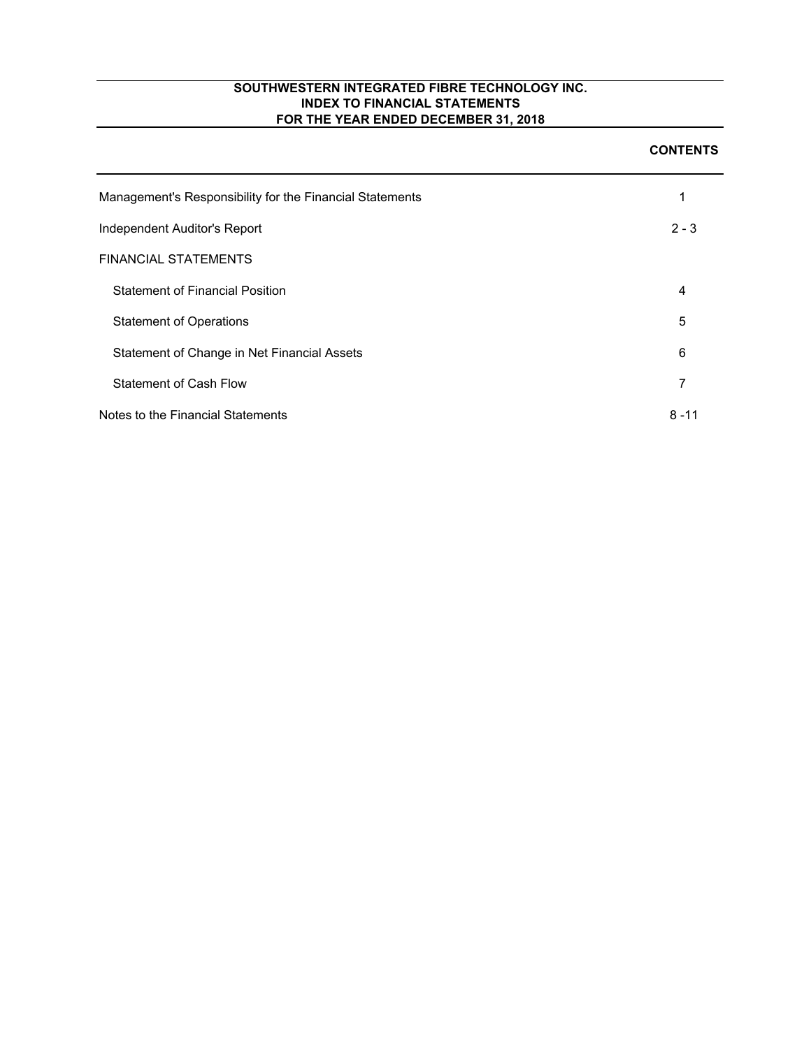| Management's Responsibility for the Financial Statements | 1        |
|----------------------------------------------------------|----------|
| Independent Auditor's Report                             | $2 - 3$  |
| <b>FINANCIAL STATEMENTS</b>                              |          |
| <b>Statement of Financial Position</b>                   | 4        |
| <b>Statement of Operations</b>                           | 5        |
| Statement of Change in Net Financial Assets              | 6        |
| Statement of Cash Flow                                   | 7        |
| Notes to the Financial Statements                        | $8 - 11$ |

#### **CONTENTS**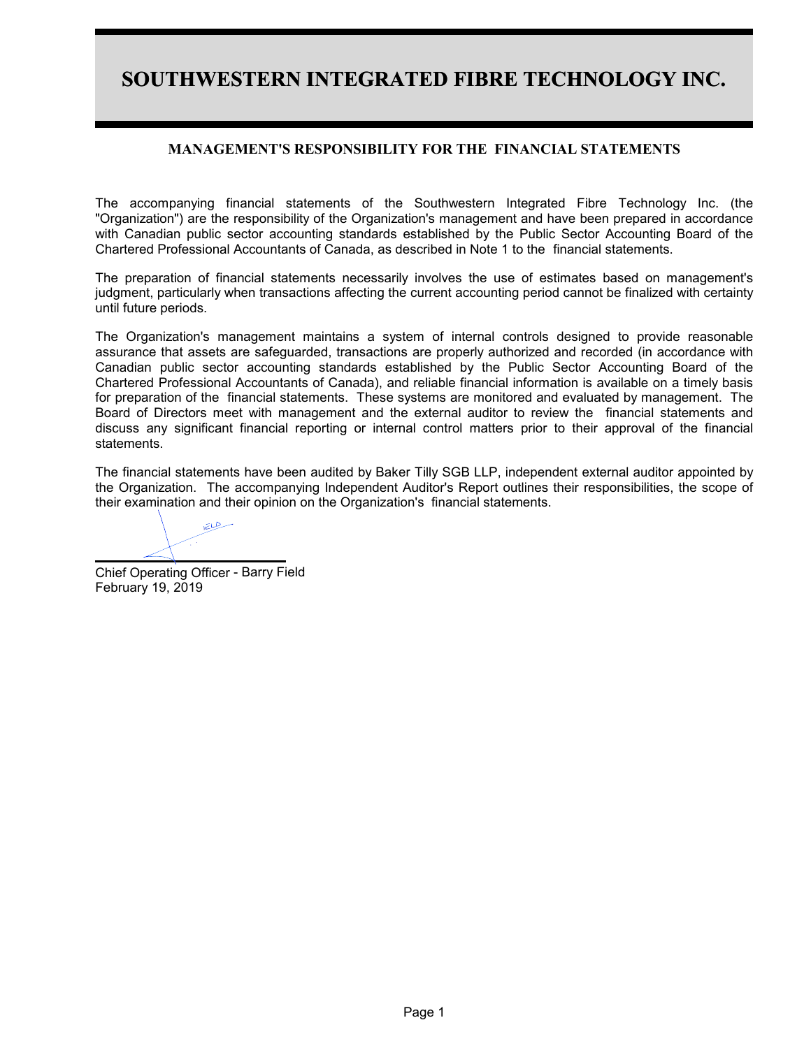# **SOUTHWESTERN INTEGRATED FIBRE TECHNOLOGY INC.**

# **MANAGEMENT'S RESPONSIBILITY FOR THE FINANCIAL STATEMENTS**

The accompanying financial statements of the Southwestern Integrated Fibre Technology Inc. (the "Organization") are the responsibility of the Organization's management and have been prepared in accordance with Canadian public sector accounting standards established by the Public Sector Accounting Board of the Chartered Professional Accountants of Canada, as described in Note 1 to the financial statements.

The preparation of financial statements necessarily involves the use of estimates based on management's judgment, particularly when transactions affecting the current accounting period cannot be finalized with certainty until future periods.

The Organization's management maintains a system of internal controls designed to provide reasonable assurance that assets are safeguarded, transactions are properly authorized and recorded (in accordance with Canadian public sector accounting standards established by the Public Sector Accounting Board of the Chartered Professional Accountants of Canada), and reliable financial information is available on a timely basis for preparation of the financial statements. These systems are monitored and evaluated by management. The Board of Directors meet with management and the external auditor to review the financial statements and discuss any significant financial reporting or internal control matters prior to their approval of the financial statements.

The financial statements have been audited by Baker Tilly SGB LLP, independent external auditor appointed by the Organization. The accompanying Independent Auditor's Report outlines their responsibilities, the scope of their examination and their opinion on the Organization's financial statements.

سيطلقه

Chief Operating Officer - Barry FieldFebruary 19, 2019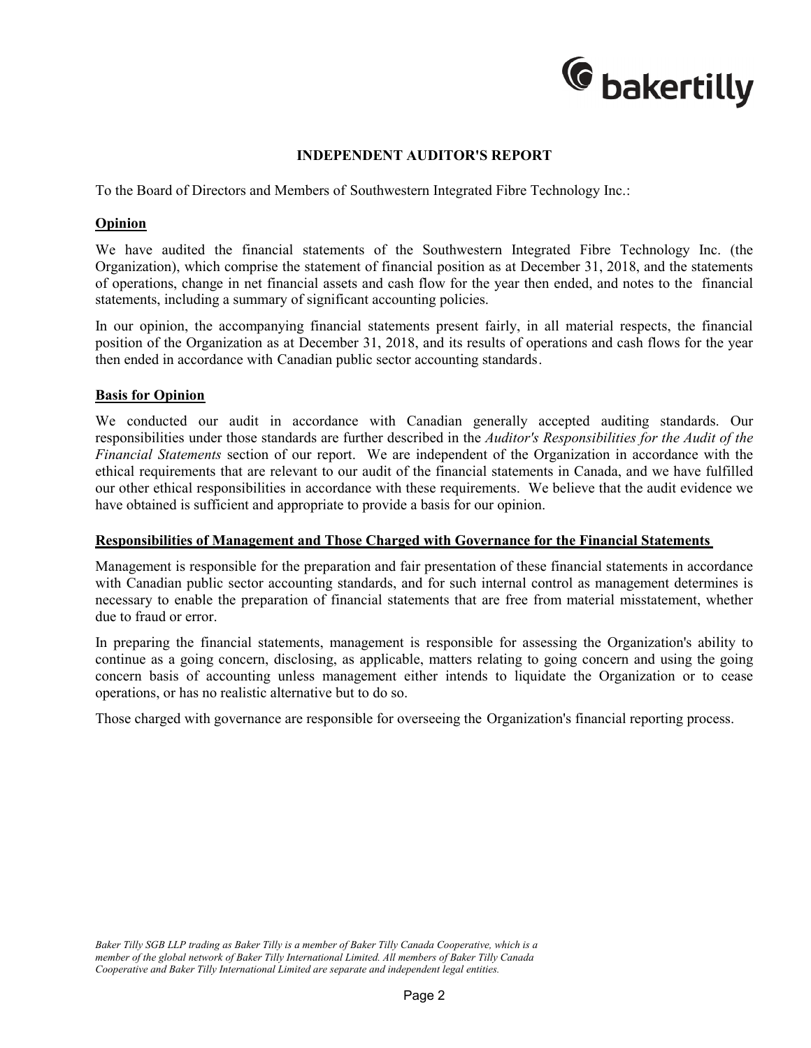

# **INDEPENDENT AUDITOR'S REPORT**

To the Board of Directors and Members of Southwestern Integrated Fibre Technology Inc.:

# **Opinion**

We have audited the financial statements of the Southwestern Integrated Fibre Technology Inc. (the Organization), which comprise the statement of financial position as at December 31, 2018, and the statements of operations, change in net financial assets and cash flow for the year then ended, and notes to the financial statements, including a summary of significant accounting policies.

In our opinion, the accompanying financial statements present fairly, in all material respects, the financial position of the Organization as at December 31, 2018, and its results of operations and cash flows for the year then ended in accordance with Canadian public sector accounting standards.

# **Basis for Opinion**

We conducted our audit in accordance with Canadian generally accepted auditing standards. Our responsibilities under those standards are further described in the *Auditor's Responsibilities for the Audit of the Financial Statements* section of our report. We are independent of the Organization in accordance with the ethical requirements that are relevant to our audit of the financial statements in Canada, and we have fulfilled our other ethical responsibilities in accordance with these requirements. We believe that the audit evidence we have obtained is sufficient and appropriate to provide a basis for our opinion.

# **Responsibilities of Management and Those Charged with Governance for the Financial Statements**

Management is responsible for the preparation and fair presentation of these financial statements in accordance with Canadian public sector accounting standards, and for such internal control as management determines is necessary to enable the preparation of financial statements that are free from material misstatement, whether due to fraud or error.

In preparing the financial statements, management is responsible for assessing the Organization's ability to continue as a going concern, disclosing, as applicable, matters relating to going concern and using the going concern basis of accounting unless management either intends to liquidate the Organization or to cease operations, or has no realistic alternative but to do so.

Those charged with governance are responsible for overseeing the Organization's financial reporting process.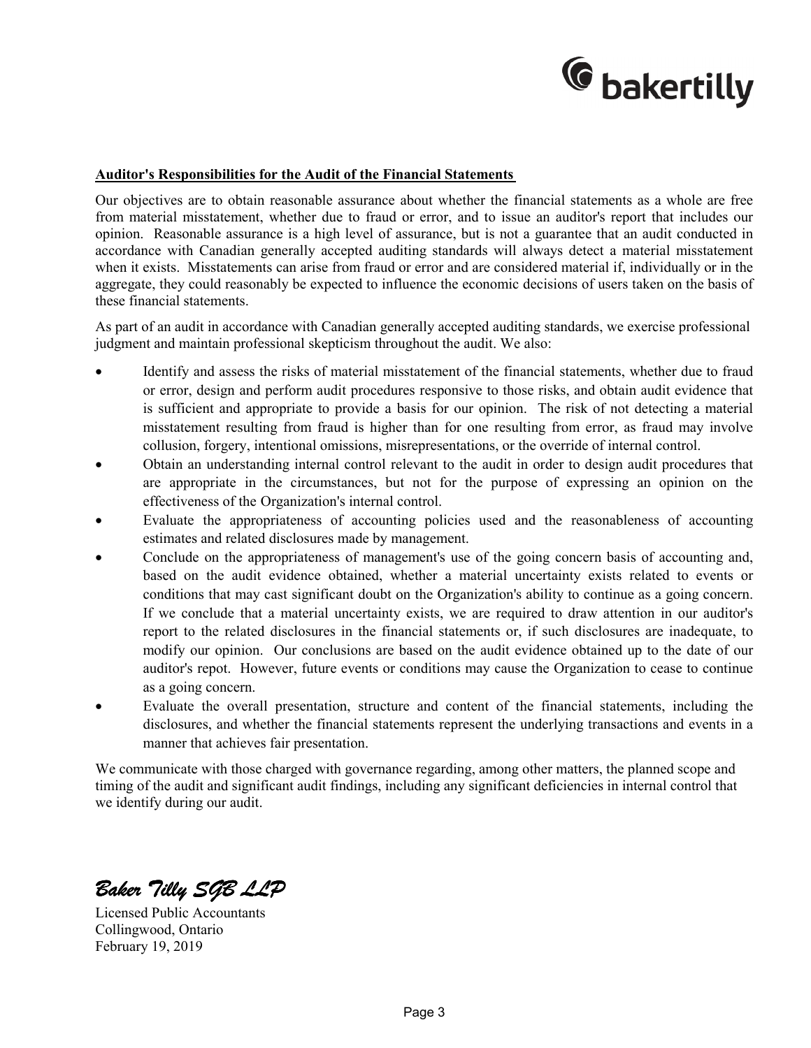

# **Auditor's Responsibilities for the Audit of the Financial Statements**

Our objectives are to obtain reasonable assurance about whether the financial statements as a whole are free from material misstatement, whether due to fraud or error, and to issue an auditor's report that includes our opinion. Reasonable assurance is a high level of assurance, but is not a guarantee that an audit conducted in accordance with Canadian generally accepted auditing standards will always detect a material misstatement when it exists. Misstatements can arise from fraud or error and are considered material if, individually or in the aggregate, they could reasonably be expected to influence the economic decisions of users taken on the basis of these financial statements.

As part of an audit in accordance with Canadian generally accepted auditing standards, we exercise professional judgment and maintain professional skepticism throughout the audit. We also:

- Identify and assess the risks of material misstatement of the financial statements, whether due to fraud or error, design and perform audit procedures responsive to those risks, and obtain audit evidence that is sufficient and appropriate to provide a basis for our opinion. The risk of not detecting a material misstatement resulting from fraud is higher than for one resulting from error, as fraud may involve collusion, forgery, intentional omissions, misrepresentations, or the override of internal control.
- Obtain an understanding internal control relevant to the audit in order to design audit procedures that are appropriate in the circumstances, but not for the purpose of expressing an opinion on the effectiveness of the Organization's internal control.
- Evaluate the appropriateness of accounting policies used and the reasonableness of accounting estimates and related disclosures made by management.
- Conclude on the appropriateness of management's use of the going concern basis of accounting and, based on the audit evidence obtained, whether a material uncertainty exists related to events or conditions that may cast significant doubt on the Organization's ability to continue as a going concern. If we conclude that a material uncertainty exists, we are required to draw attention in our auditor's report to the related disclosures in the financial statements or, if such disclosures are inadequate, to modify our opinion. Our conclusions are based on the audit evidence obtained up to the date of our auditor's repot. However, future events or conditions may cause the Organization to cease to continue as a going concern.
- Evaluate the overall presentation, structure and content of the financial statements, including the disclosures, and whether the financial statements represent the underlying transactions and events in a manner that achieves fair presentation.

We communicate with those charged with governance regarding, among other matters, the planned scope and timing of the audit and significant audit findings, including any significant deficiencies in internal control that we identify during our audit.

*Baker Tilly SGB LLP*

Licensed Public Accountants Collingwood, Ontario February 19, 2019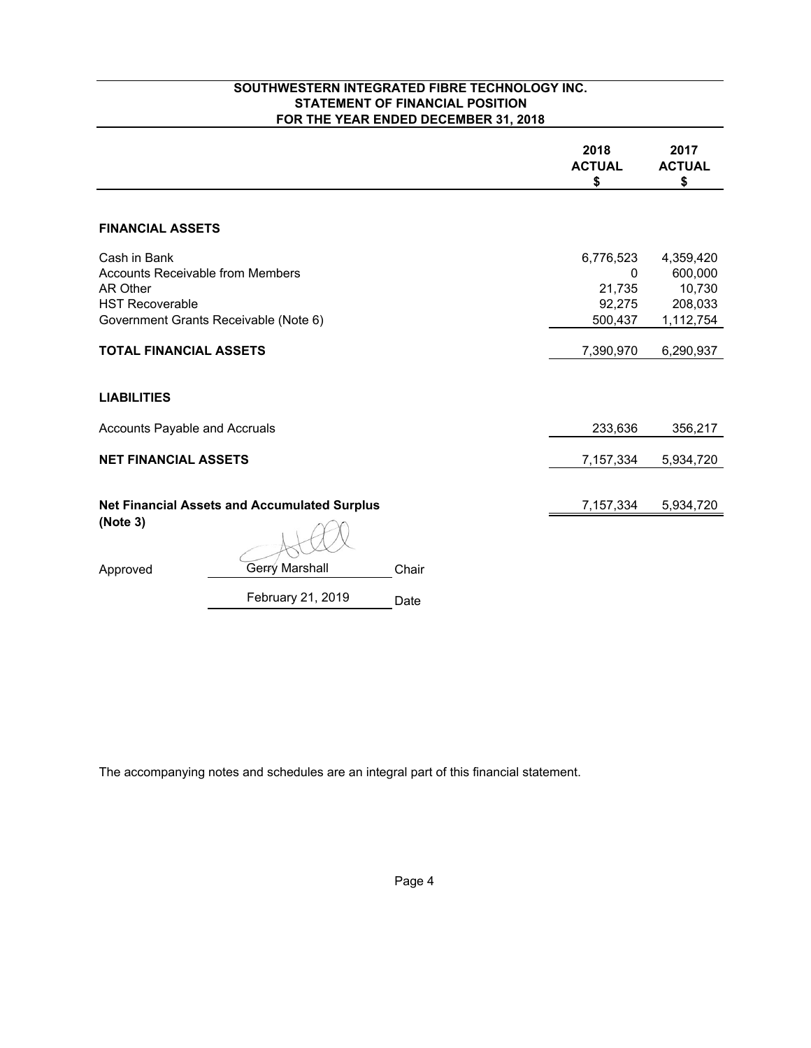# **SOUTHWESTERN INTEGRATED FIBRE TECHNOLOGY INC. STATEMENT OF FINANCIAL POSITION FOR THE YEAR ENDED DECEMBER 31, 2018**

|                                                                                               |                                                     |       | 2018<br><b>ACTUAL</b><br>\$                   | 2017<br><b>ACTUAL</b><br>\$                            |
|-----------------------------------------------------------------------------------------------|-----------------------------------------------------|-------|-----------------------------------------------|--------------------------------------------------------|
| <b>FINANCIAL ASSETS</b>                                                                       |                                                     |       |                                               |                                                        |
| Cash in Bank<br><b>Accounts Receivable from Members</b><br>AR Other<br><b>HST Recoverable</b> | Government Grants Receivable (Note 6)               |       | 6,776,523<br>0<br>21,735<br>92,275<br>500,437 | 4,359,420<br>600,000<br>10,730<br>208,033<br>1,112,754 |
| <b>TOTAL FINANCIAL ASSETS</b>                                                                 |                                                     |       | 7,390,970                                     | 6,290,937                                              |
| <b>LIABILITIES</b><br>Accounts Payable and Accruals                                           |                                                     |       | 233,636                                       | 356,217                                                |
| <b>NET FINANCIAL ASSETS</b>                                                                   |                                                     |       | 7,157,334                                     | 5,934,720                                              |
| (Note 3)                                                                                      | <b>Net Financial Assets and Accumulated Surplus</b> |       | 7,157,334                                     | 5,934,720                                              |
| Approved                                                                                      | <b>Gerry Marshall</b>                               | Chair |                                               |                                                        |
|                                                                                               | February 21, 2019                                   | Date  |                                               |                                                        |

The accompanying notes and schedules are an integral part of this financial statement.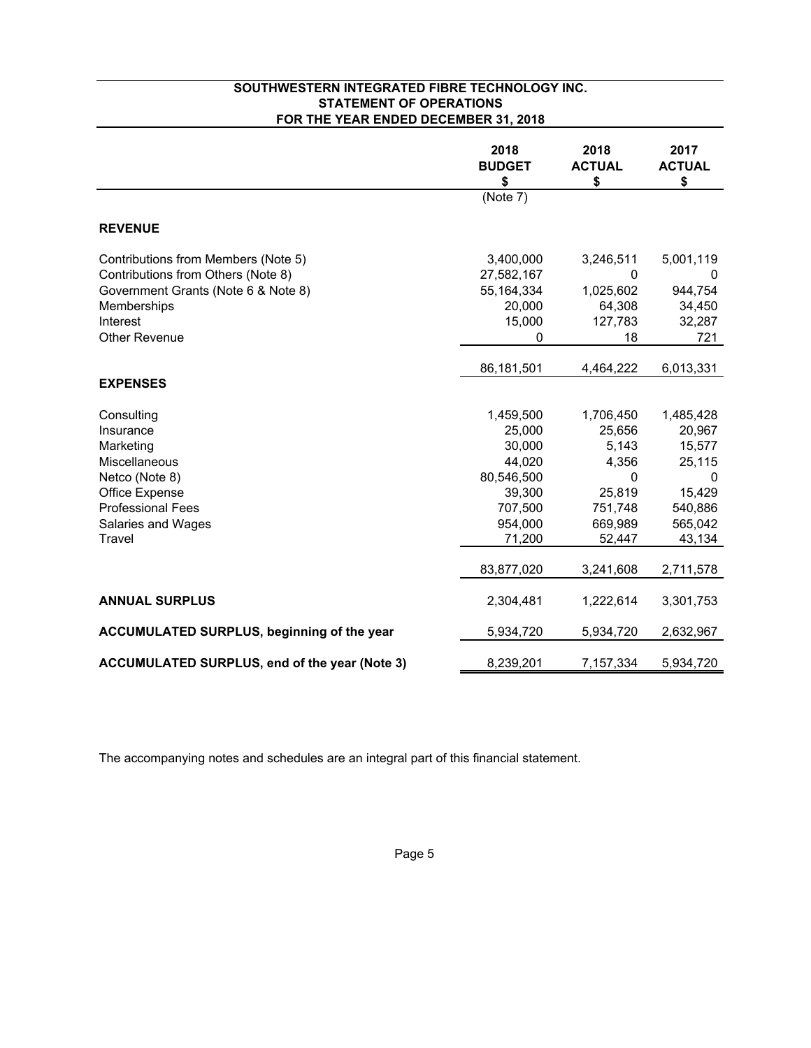# **SOUTHWESTERN INTEGRATED FIBRE TECHNOLOGY INC. STATEMENT OF OPERATIONS FOR THE YEAR ENDED DECEMBER 31, 2018**

|                                                      | 2018<br><b>BUDGET</b><br>\$ | 2018<br><b>ACTUAL</b><br>\$ | 2017<br><b>ACTUAL</b><br>\$ |
|------------------------------------------------------|-----------------------------|-----------------------------|-----------------------------|
|                                                      | (Note 7)                    |                             |                             |
| <b>REVENUE</b>                                       |                             |                             |                             |
| Contributions from Members (Note 5)                  | 3,400,000                   | 3,246,511                   | 5,001,119                   |
| Contributions from Others (Note 8)                   | 27,582,167                  | 0                           | $\Omega$                    |
| Government Grants (Note 6 & Note 8)                  | 55, 164, 334                | 1,025,602                   | 944,754                     |
| Memberships                                          | 20,000                      | 64,308                      | 34,450                      |
| Interest                                             | 15,000                      | 127,783                     | 32,287                      |
| Other Revenue                                        | $\Omega$                    | 18                          | 721                         |
|                                                      | 86,181,501                  | 4,464,222                   | 6,013,331                   |
| <b>EXPENSES</b>                                      |                             |                             |                             |
| Consulting                                           | 1,459,500                   | 1,706,450                   | 1,485,428                   |
| Insurance                                            | 25,000                      | 25,656                      | 20,967                      |
| Marketing                                            | 30,000                      | 5,143                       | 15,577                      |
| Miscellaneous                                        | 44,020                      | 4,356                       | 25,115                      |
| Netco (Note 8)                                       | 80,546,500                  | 0                           | 0                           |
| Office Expense                                       | 39,300                      | 25,819                      | 15,429                      |
| <b>Professional Fees</b>                             | 707,500                     | 751,748                     | 540,886                     |
| Salaries and Wages                                   | 954,000                     | 669,989                     | 565,042                     |
| Travel                                               | 71,200                      | 52,447                      | 43,134                      |
|                                                      | 83,877,020                  | 3,241,608                   | 2,711,578                   |
| <b>ANNUAL SURPLUS</b>                                | 2,304,481                   | 1,222,614                   | 3,301,753                   |
| <b>ACCUMULATED SURPLUS, beginning of the year</b>    | 5,934,720                   | 5,934,720                   | 2,632,967                   |
| <b>ACCUMULATED SURPLUS, end of the year (Note 3)</b> | 8,239,201                   | 7,157,334                   | 5,934,720                   |

The accompanying notes and schedules are an integral part of this financial statement.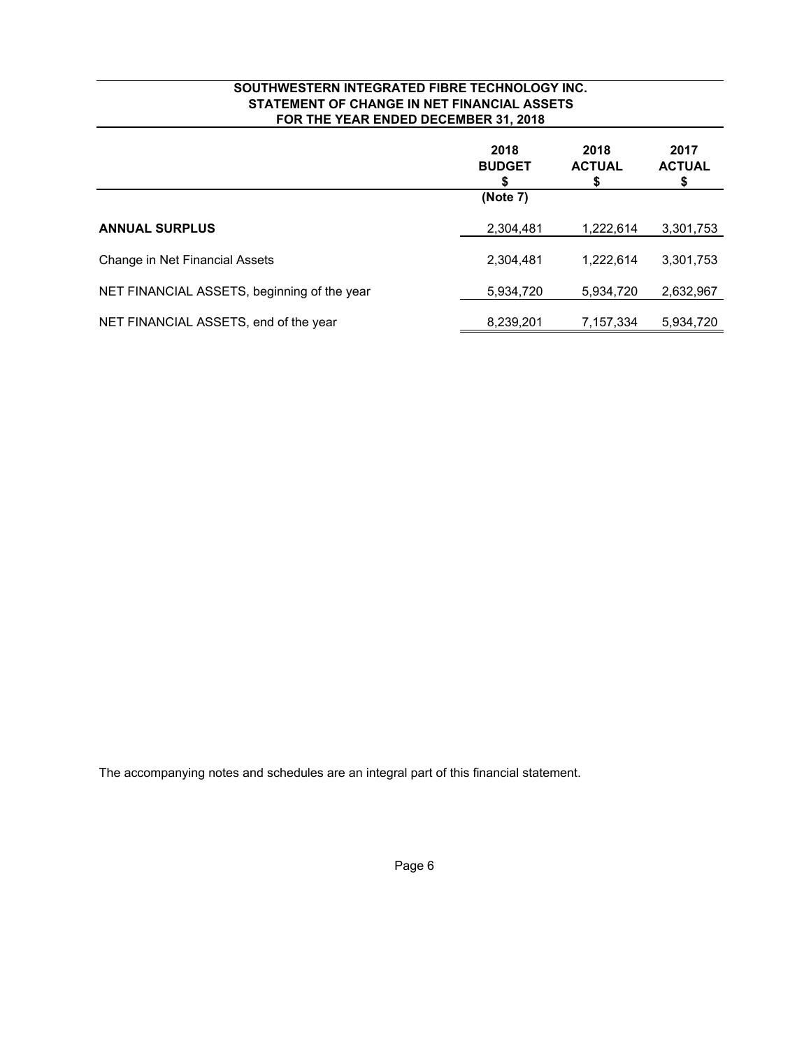# **SOUTHWESTERN INTEGRATED FIBRE TECHNOLOGY INC. STATEMENT OF CHANGE IN NET FINANCIAL ASSETS FOR THE YEAR ENDED DECEMBER 31, 2018**

|                                             | 2018<br><b>BUDGET</b> | 2018<br><b>ACTUAL</b><br>\$ | 2017<br><b>ACTUAL</b><br>\$ |
|---------------------------------------------|-----------------------|-----------------------------|-----------------------------|
|                                             | (Note 7)              |                             |                             |
| <b>ANNUAL SURPLUS</b>                       | 2,304,481             | 1,222,614                   | 3,301,753                   |
| Change in Net Financial Assets              | 2,304,481             | 1.222.614                   | 3,301,753                   |
| NET FINANCIAL ASSETS, beginning of the year | 5,934,720             | 5,934,720                   | 2,632,967                   |
| NET FINANCIAL ASSETS, end of the year       | 8,239,201             | 7,157,334                   | 5,934,720                   |

The accompanying notes and schedules are an integral part of this financial statement.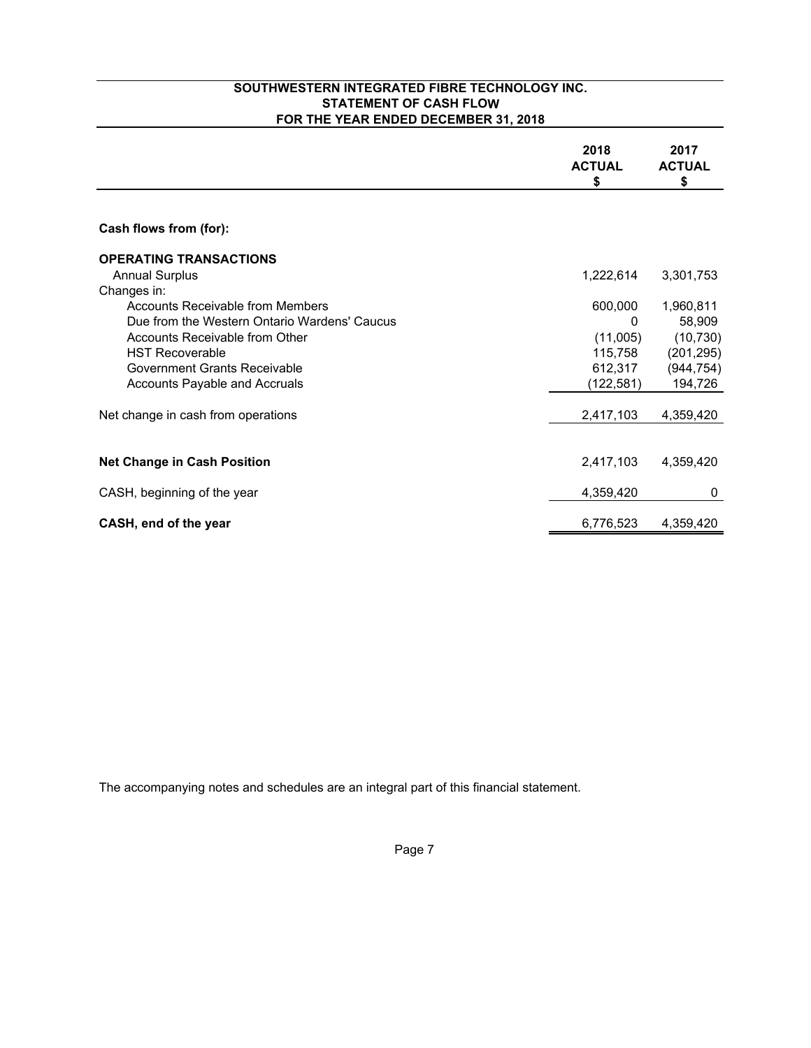# **SOUTHWESTERN INTEGRATED FIBRE TECHNOLOGY INC. STATEMENT OF CASH FLOW FOR THE YEAR ENDED DECEMBER 31, 2018**

|                                              | 2018<br><b>ACTUAL</b><br>\$ | 2017<br><b>ACTUAL</b><br>\$ |
|----------------------------------------------|-----------------------------|-----------------------------|
|                                              |                             |                             |
| Cash flows from (for):                       |                             |                             |
| <b>OPERATING TRANSACTIONS</b>                |                             |                             |
| <b>Annual Surplus</b>                        | 1,222,614                   | 3,301,753                   |
| Changes in:                                  |                             |                             |
| Accounts Receivable from Members             | 600,000                     | 1,960,811                   |
| Due from the Western Ontario Wardens' Caucus | $\Omega$                    | 58,909                      |
| Accounts Receivable from Other               | (11,005)                    | (10, 730)                   |
| <b>HST Recoverable</b>                       | 115,758                     | (201, 295)                  |
| Government Grants Receivable                 | 612,317                     | (944, 754)                  |
| Accounts Payable and Accruals                | (122,581)                   | 194,726                     |
| Net change in cash from operations           | 2,417,103                   | 4,359,420                   |
|                                              |                             |                             |
| <b>Net Change in Cash Position</b>           | 2,417,103                   | 4,359,420                   |
| CASH, beginning of the year                  | 4,359,420                   | 0                           |
| CASH, end of the year                        | 6,776,523                   | 4,359,420                   |

The accompanying notes and schedules are an integral part of this financial statement.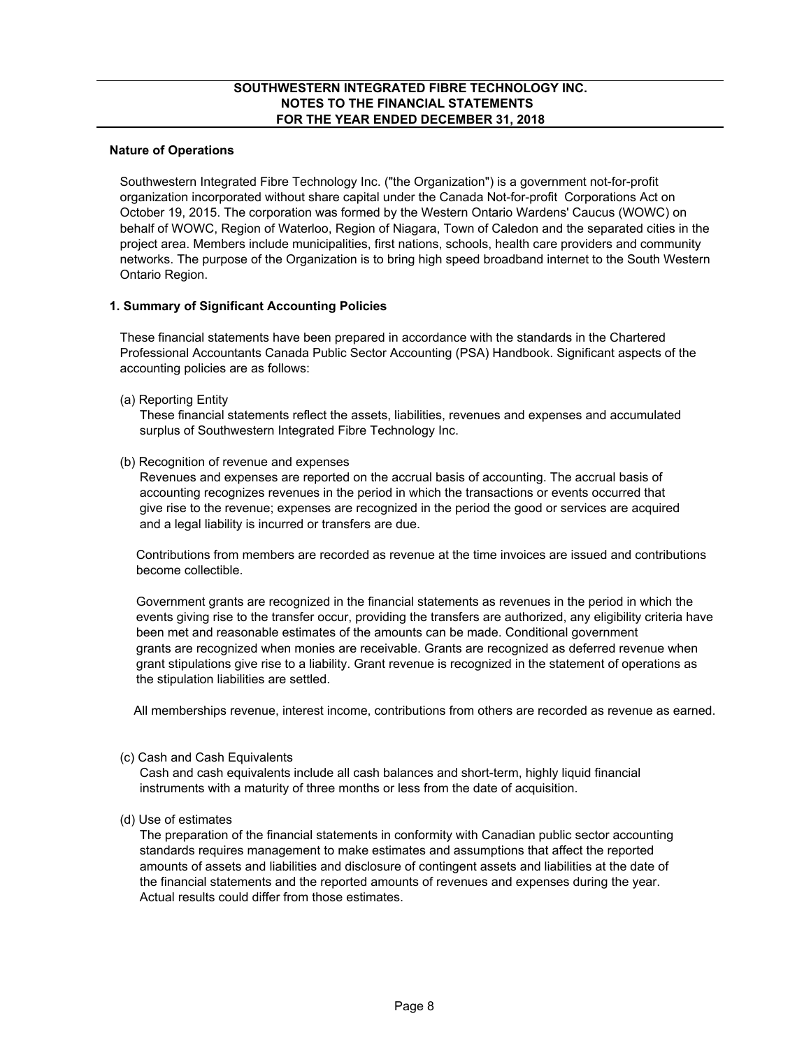#### **Nature of Operations**

Southwestern Integrated Fibre Technology Inc. ("the Organization") is a government not-for-profit organization incorporated without share capital under the Canada Not-for-profit Corporations Act on October 19, 2015. The corporation was formed by the Western Ontario Wardens' Caucus (WOWC) on behalf of WOWC, Region of Waterloo, Region of Niagara, Town of Caledon and the separated cities in the project area. Members include municipalities, first nations, schools, health care providers and community networks. The purpose of the Organization is to bring high speed broadband internet to the South Western Ontario Region.

#### **1. Summary of Significant Accounting Policies**

These financial statements have been prepared in accordance with the standards in the Chartered Professional Accountants Canada Public Sector Accounting (PSA) Handbook. Significant aspects of the accounting policies are as follows:

(a) Reporting Entity

'These financial statements reflect the assets, liabilities, revenues and expenses and accumulated surplus of Southwestern Integrated Fibre Technology Inc.

(b) Recognition of revenue and expenses

'Revenues and expenses are reported on the accrual basis of accounting. The accrual basis of 'accounting recognizes revenues in the period in which the transactions or events occurred that 'give rise to the revenue; expenses are recognized in the period the good or services are acquired and a legal liability is incurred or transfers are due.

'Contributions from members are recorded as revenue at the time invoices are issued and contributions 'become collectible.

'Government grants are recognized in the financial statements as revenues in the period in which the 'events giving rise to the transfer occur, providing the transfers are authorized, any eligibility criteria have 'been met and reasonable estimates of the amounts can be made. Conditional government 'grants are recognized when monies are receivable. Grants are recognized as deferred revenue when 'grant stipulations give rise to a liability. Grant revenue is recognized in the statement of operations as 'the stipulation liabilities are settled.

All memberships revenue, interest income, contributions from others are recorded as revenue as earned.

(c) Cash and Cash Equivalents

'Cash and cash equivalents include all cash balances and short-term, highly liquid financial 'instruments with a maturity of three months or less from the date of acquisition.

(d) Use of estimates

'The preparation of the financial statements in conformity with Canadian public sector accounting standards requires management to make estimates and assumptions that affect the reported amounts of assets and liabilities and disclosure of contingent assets and liabilities at the date of the financial statements and the reported amounts of revenues and expenses during the year. Actual results could differ from those estimates.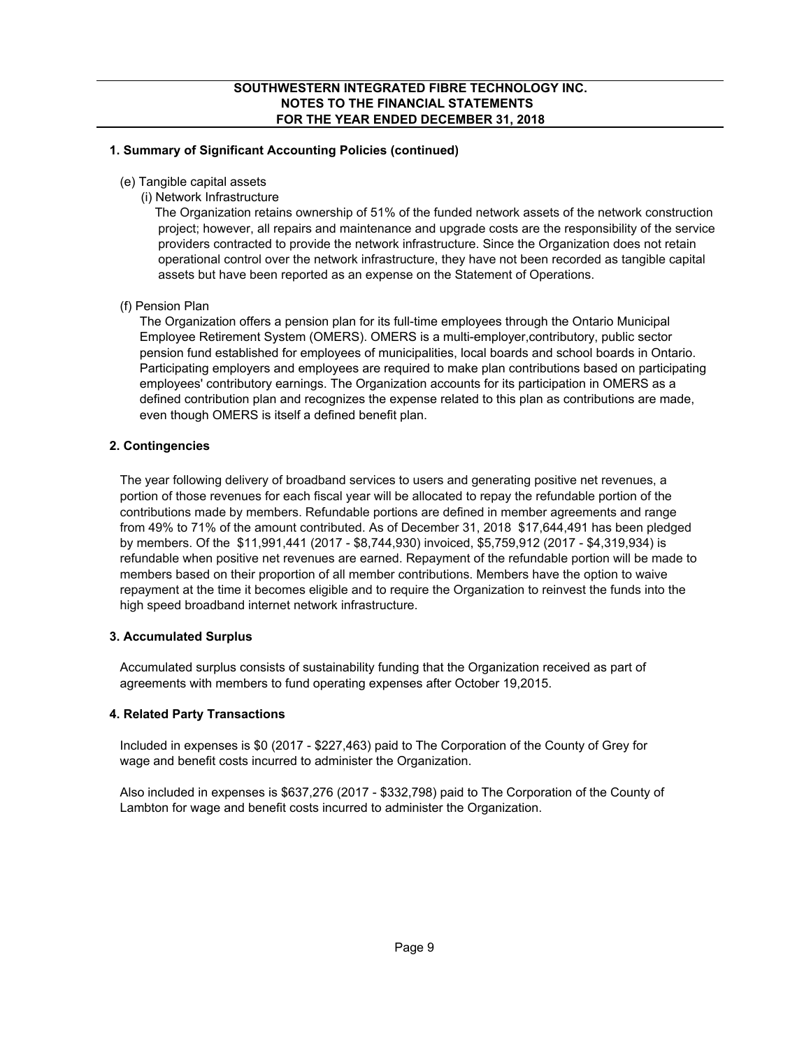# **1. Summary of Significant Accounting Policies (continued)**

- (e) Tangible capital assets
	- (i) Network Infrastructure

The Organization retains ownership of 51% of the funded network assets of the network construction project; however, all repairs and maintenance and upgrade costs are the responsibility of the service providers contracted to provide the network infrastructure. Since the Organization does not retain operational control over the network infrastructure, they have not been recorded as tangible capital assets but have been reported as an expense on the Statement of Operations.

# (f) Pension Plan

'The Organization offers a pension plan for its full-time employees through the Ontario Municipal 'Employee Retirement System (OMERS). OMERS is a multi-employer,contributory, public sector 'pension fund established for employees of municipalities, local boards and school boards in Ontario. 'Participating employers and employees are required to make plan contributions based on participating 'employees' contributory earnings. The Organization accounts for its participation in OMERS as a 'defined contribution plan and recognizes the expense related to this plan as contributions are made, even though OMERS is itself a defined benefit plan.

# **2. Contingencies**

The year following delivery of broadband services to users and generating positive net revenues, a portion of those revenues for each fiscal year will be allocated to repay the refundable portion of the contributions made by members. Refundable portions are defined in member agreements and range from 49% to 71% of the amount contributed. As of December 31, 2018 \$17,644,491 has been pledged by members. Of the \$11,991,441 (2017 - \$8,744,930) invoiced, \$5,759,912 (2017 - \$4,319,934) is refundable when positive net revenues are earned. Repayment of the refundable portion will be made to members based on their proportion of all member contributions. Members have the option to waive repayment at the time it becomes eligible and to require the Organization to reinvest the funds into the high speed broadband internet network infrastructure.

# **3. Accumulated Surplus**

Accumulated surplus consists of sustainability funding that the Organization received as part of agreements with members to fund operating expenses after October 19,2015.

# **4. Related Party Transactions**

Included in expenses is \$0 (2017 - \$227,463) paid to The Corporation of the County of Grey for wage and benefit costs incurred to administer the Organization.

Also included in expenses is \$637,276 (2017 - \$332,798) paid to The Corporation of the County of Lambton for wage and benefit costs incurred to administer the Organization.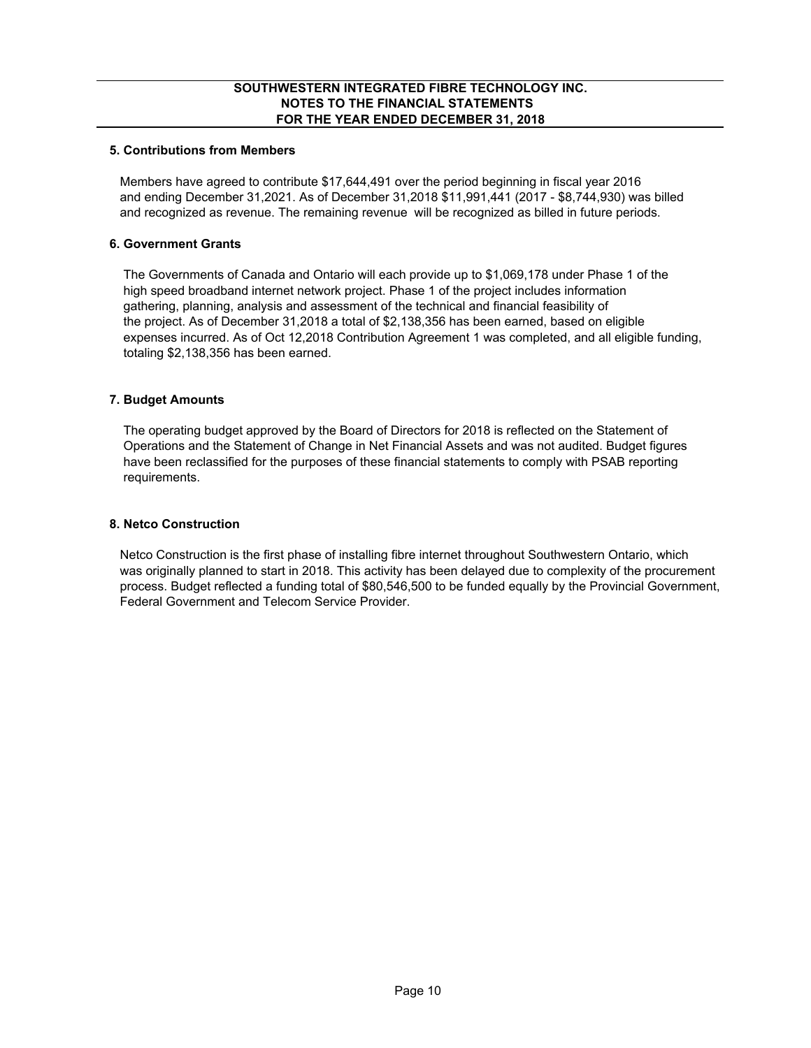# **5. Contributions from Members**

Members have agreed to contribute \$17,644,491 over the period beginning in fiscal year 2016 and ending December 31,2021. As of December 31,2018 \$11,991,441 (2017 - \$8,744,930) was billed and recognized as revenue. The remaining revenue will be recognized as billed in future periods.

# **6. Government Grants**

The Governments of Canada and Ontario will each provide up to \$1,069,178 under Phase 1 of the high speed broadband internet network project. Phase 1 of the project includes information gathering, planning, analysis and assessment of the technical and financial feasibility of the project. As of December 31,2018 a total of \$2,138,356 has been earned, based on eligible expenses incurred. As of Oct 12,2018 Contribution Agreement 1 was completed, and all eligible funding, totaling \$2,138,356 has been earned.

# **7. Budget Amounts**

The operating budget approved by the Board of Directors for 2018 is reflected on the Statement of Operations and the Statement of Change in Net Financial Assets and was not audited. Budget figures have been reclassified for the purposes of these financial statements to comply with PSAB reporting requirements.

# **8. Netco Construction**

Netco Construction is the first phase of installing fibre internet throughout Southwestern Ontario, which was originally planned to start in 2018. This activity has been delayed due to complexity of the procurement process. Budget reflected a funding total of \$80,546,500 to be funded equally by the Provincial Government, Federal Government and Telecom Service Provider.